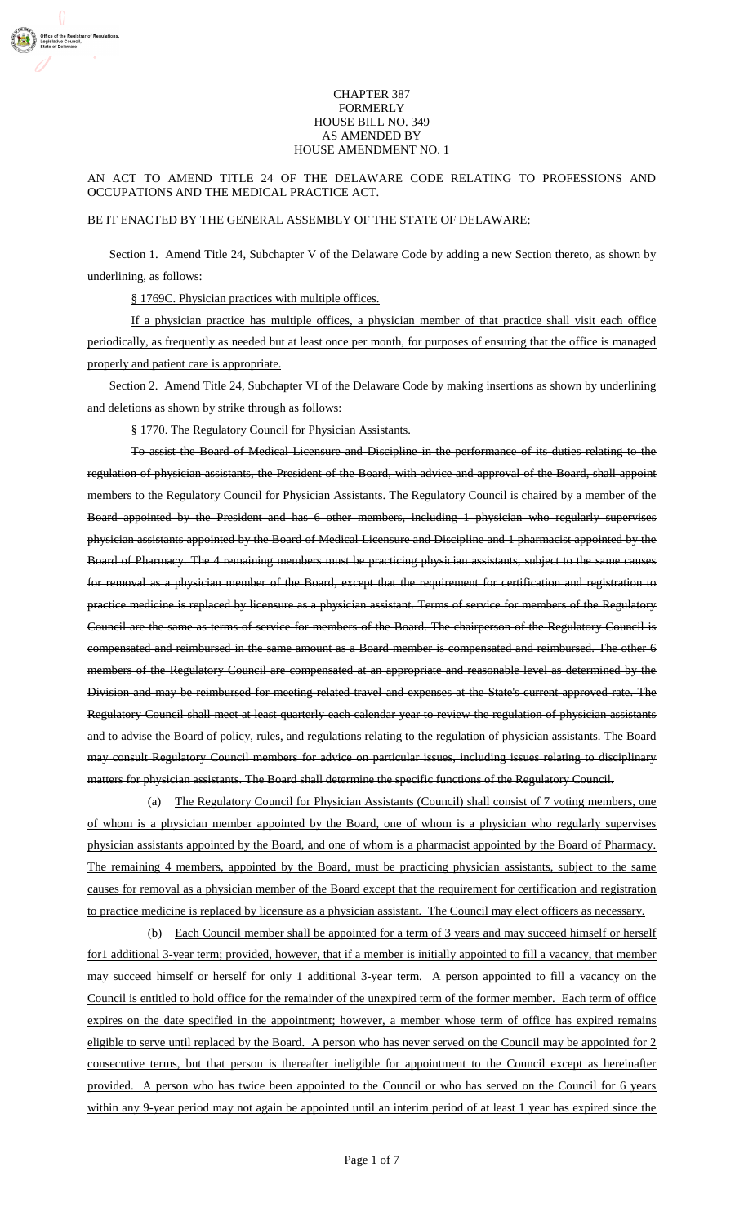### CHAPTER 387 FORMERLY HOUSE BILL NO. 349 AS AMENDED BY HOUSE AMENDMENT NO. 1

# AN ACT TO AMEND TITLE 24 OF THE DELAWARE CODE RELATING TO PROFESSIONS AND OCCUPATIONS AND THE MEDICAL PRACTICE ACT.

### BE IT ENACTED BY THE GENERAL ASSEMBLY OF THE STATE OF DELAWARE:

Section 1. Amend Title 24, Subchapter V of the Delaware Code by adding a new Section thereto, as shown by underlining, as follows:

### § 1769C. Physician practices with multiple offices.

If a physician practice has multiple offices, a physician member of that practice shall visit each office periodically, as frequently as needed but at least once per month, for purposes of ensuring that the office is managed properly and patient care is appropriate.

Section 2. Amend Title 24, Subchapter VI of the Delaware Code by making insertions as shown by underlining and deletions as shown by strike through as follows:

§ 1770. The Regulatory Council for Physician Assistants.

To assist the Board of Medical Licensure and Discipline in the performance of its duties relating to the regulation of physician assistants, the President of the Board, with advice and approval of the Board, shall appoint members to the Regulatory Council for Physician Assistants. The Regulatory Council is chaired by a member of the Board appointed by the President and has 6 other members, including 1 physician who regularly supervises physician assistants appointed by the Board of Medical Licensure and Discipline and 1 pharmacist appointed by the Board of Pharmacy. The 4 remaining members must be practicing physician assistants, subject to the same causes for removal as a physician member of the Board, except that the requirement for certification and registration to practice medicine is replaced by licensure as a physician assistant. Terms of service for members of the Regulatory Council are the same as terms of service for members of the Board. The chairperson of the Regulatory Council is compensated and reimbursed in the same amount as a Board member is compensated and reimbursed. The other 6 members of the Regulatory Council are compensated at an appropriate and reasonable level as determined by the Division and may be reimbursed for meeting-related travel and expenses at the State's current approved rate. The Regulatory Council shall meet at least quarterly each calendar year to review the regulation of physician assistants and to advise the Board of policy, rules, and regulations relating to the regulation of physician assistants. The Board may consult Regulatory Council members for advice on particular issues, including issues relating to disciplinary matters for physician assistants. The Board shall determine the specific functions of the Regulatory Council.

(a) The Regulatory Council for Physician Assistants (Council) shall consist of 7 voting members, one of whom is a physician member appointed by the Board, one of whom is a physician who regularly supervises physician assistants appointed by the Board, and one of whom is a pharmacist appointed by the Board of Pharmacy. The remaining 4 members, appointed by the Board, must be practicing physician assistants, subject to the same causes for removal as a physician member of the Board except that the requirement for certification and registration to practice medicine is replaced by licensure as a physician assistant. The Council may elect officers as necessary.

(b) Each Council member shall be appointed for a term of 3 years and may succeed himself or herself for1 additional 3-year term; provided, however, that if a member is initially appointed to fill a vacancy, that member may succeed himself or herself for only 1 additional 3-year term. A person appointed to fill a vacancy on the Council is entitled to hold office for the remainder of the unexpired term of the former member. Each term of office expires on the date specified in the appointment; however, a member whose term of office has expired remains eligible to serve until replaced by the Board. A person who has never served on the Council may be appointed for 2 consecutive terms, but that person is thereafter ineligible for appointment to the Council except as hereinafter provided. A person who has twice been appointed to the Council or who has served on the Council for 6 years within any 9-year period may not again be appointed until an interim period of at least 1 year has expired since the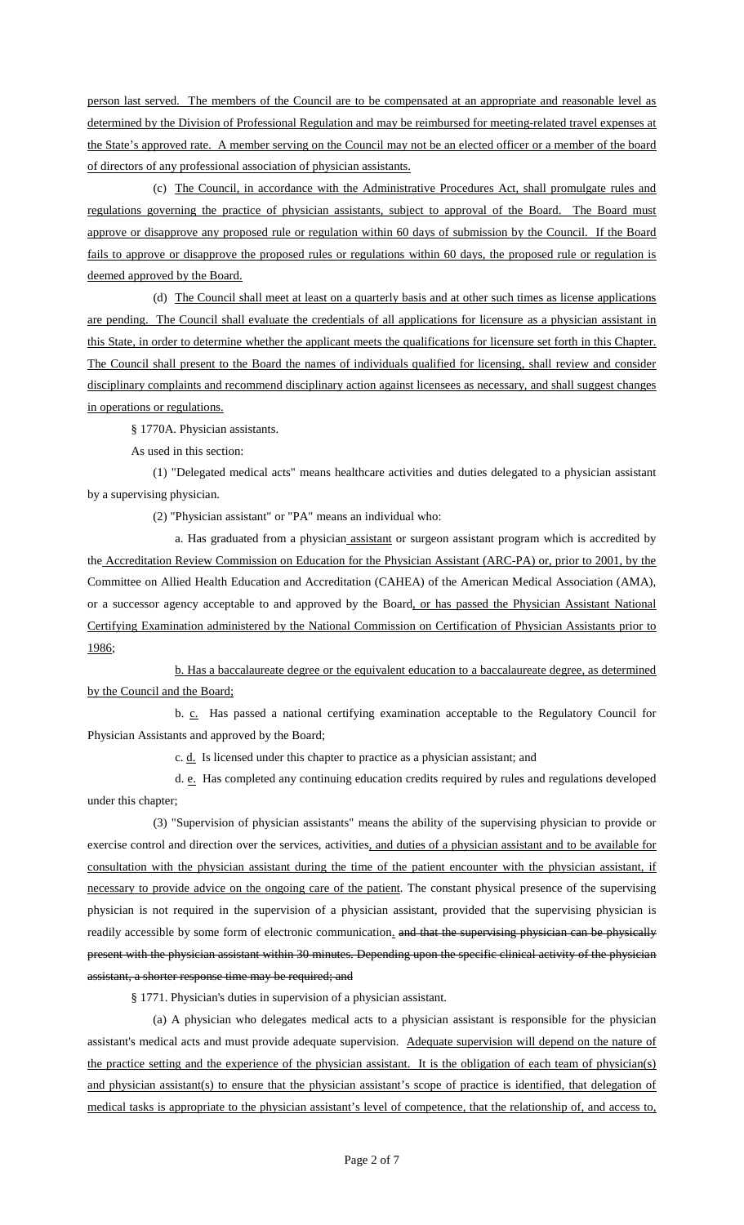person last served. The members of the Council are to be compensated at an appropriate and reasonable level as determined by the Division of Professional Regulation and may be reimbursed for meeting-related travel expenses at the State's approved rate. A member serving on the Council may not be an elected officer or a member of the board of directors of any professional association of physician assistants.

(c) The Council, in accordance with the Administrative Procedures Act, shall promulgate rules and regulations governing the practice of physician assistants, subject to approval of the Board. The Board must approve or disapprove any proposed rule or regulation within 60 days of submission by the Council. If the Board fails to approve or disapprove the proposed rules or regulations within 60 days, the proposed rule or regulation is deemed approved by the Board.

(d) The Council shall meet at least on a quarterly basis and at other such times as license applications are pending. The Council shall evaluate the credentials of all applications for licensure as a physician assistant in this State, in order to determine whether the applicant meets the qualifications for licensure set forth in this Chapter. The Council shall present to the Board the names of individuals qualified for licensing, shall review and consider disciplinary complaints and recommend disciplinary action against licensees as necessary, and shall suggest changes in operations or regulations.

§ 1770A. Physician assistants.

As used in this section:

(1) "Delegated medical acts" means healthcare activities and duties delegated to a physician assistant by a supervising physician.

(2) "Physician assistant" or "PA" means an individual who:

a. Has graduated from a physician assistant or surgeon assistant program which is accredited by the Accreditation Review Commission on Education for the Physician Assistant (ARC-PA) or, prior to 2001, by the Committee on Allied Health Education and Accreditation (CAHEA) of the American Medical Association (AMA), or a successor agency acceptable to and approved by the Board, or has passed the Physician Assistant National Certifying Examination administered by the National Commission on Certification of Physician Assistants prior to 1986;

b. Has a baccalaureate degree or the equivalent education to a baccalaureate degree, as determined by the Council and the Board;

b. c. Has passed a national certifying examination acceptable to the Regulatory Council for Physician Assistants and approved by the Board;

c. d. Is licensed under this chapter to practice as a physician assistant; and

d. e. Has completed any continuing education credits required by rules and regulations developed under this chapter;

(3) "Supervision of physician assistants" means the ability of the supervising physician to provide or exercise control and direction over the services, activities, and duties of a physician assistant and to be available for consultation with the physician assistant during the time of the patient encounter with the physician assistant, if necessary to provide advice on the ongoing care of the patient. The constant physical presence of the supervising physician is not required in the supervision of a physician assistant, provided that the supervising physician is readily accessible by some form of electronic communication. and that the supervising physician can be physically present with the physician assistant within 30 minutes. Depending upon the specific clinical activity of the physician assistant, a shorter response time may be required; and

§ 1771. Physician's duties in supervision of a physician assistant.

(a) A physician who delegates medical acts to a physician assistant is responsible for the physician assistant's medical acts and must provide adequate supervision. Adequate supervision will depend on the nature of the practice setting and the experience of the physician assistant. It is the obligation of each team of physician(s) and physician assistant(s) to ensure that the physician assistant's scope of practice is identified, that delegation of medical tasks is appropriate to the physician assistant's level of competence, that the relationship of, and access to,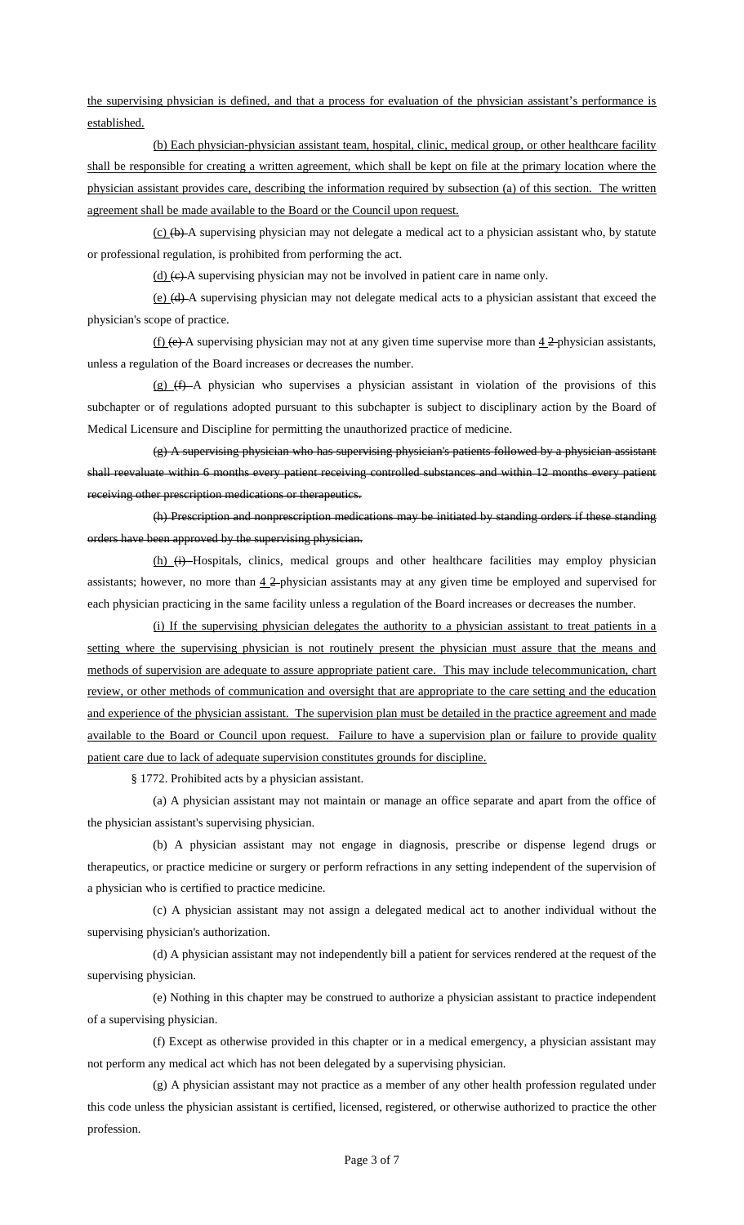the supervising physician is defined, and that a process for evaluation of the physician assistant's performance is established.

(b) Each physician-physician assistant team, hospital, clinic, medical group, or other healthcare facility shall be responsible for creating a written agreement, which shall be kept on file at the primary location where the physician assistant provides care, describing the information required by subsection (a) of this section. The written agreement shall be made available to the Board or the Council upon request.

(c) (b) A supervising physician may not delegate a medical act to a physician assistant who, by statute or professional regulation, is prohibited from performing the act.

(d) (e) A supervising physician may not be involved in patient care in name only.

(e) (d) A supervising physician may not delegate medical acts to a physician assistant that exceed the physician's scope of practice.

(f) (e) A supervising physician may not at any given time supervise more than  $4 \frac{2}{3}$ -physician assistants, unless a regulation of the Board increases or decreases the number.

(g) (f) A physician who supervises a physician assistant in violation of the provisions of this subchapter or of regulations adopted pursuant to this subchapter is subject to disciplinary action by the Board of Medical Licensure and Discipline for permitting the unauthorized practice of medicine.

(g) A supervising physician who has supervising physician's patients followed by a physician assistant shall reevaluate within 6 months every patient receiving controlled substances and within 12 months every patient receiving other prescription medications or therapeutics.

(h) Prescription and nonprescription medications may be initiated by standing orders if these standing orders have been approved by the supervising physician.

(h) (i) Hospitals, clinics, medical groups and other healthcare facilities may employ physician assistants; however, no more than  $4.2$ -physician assistants may at any given time be employed and supervised for each physician practicing in the same facility unless a regulation of the Board increases or decreases the number.

(i) If the supervising physician delegates the authority to a physician assistant to treat patients in a setting where the supervising physician is not routinely present the physician must assure that the means and methods of supervision are adequate to assure appropriate patient care. This may include telecommunication, chart review, or other methods of communication and oversight that are appropriate to the care setting and the education and experience of the physician assistant. The supervision plan must be detailed in the practice agreement and made available to the Board or Council upon request. Failure to have a supervision plan or failure to provide quality patient care due to lack of adequate supervision constitutes grounds for discipline.

§ 1772. Prohibited acts by a physician assistant.

(a) A physician assistant may not maintain or manage an office separate and apart from the office of the physician assistant's supervising physician.

(b) A physician assistant may not engage in diagnosis, prescribe or dispense legend drugs or therapeutics, or practice medicine or surgery or perform refractions in any setting independent of the supervision of a physician who is certified to practice medicine.

(c) A physician assistant may not assign a delegated medical act to another individual without the supervising physician's authorization.

(d) A physician assistant may not independently bill a patient for services rendered at the request of the supervising physician.

(e) Nothing in this chapter may be construed to authorize a physician assistant to practice independent of a supervising physician.

(f) Except as otherwise provided in this chapter or in a medical emergency, a physician assistant may not perform any medical act which has not been delegated by a supervising physician.

(g) A physician assistant may not practice as a member of any other health profession regulated under this code unless the physician assistant is certified, licensed, registered, or otherwise authorized to practice the other profession.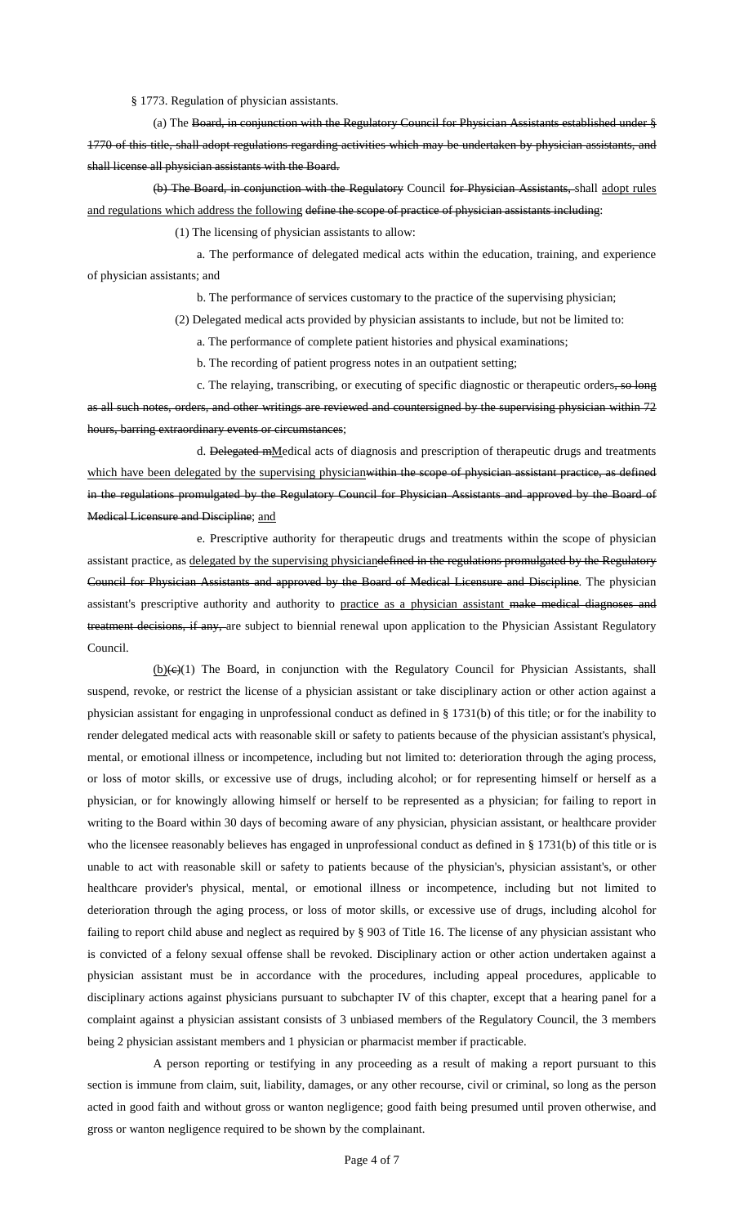#### § 1773. Regulation of physician assistants.

(a) The Board, in conjunction with the Regulatory Council for Physician Assistants established under § 1770 of this title, shall adopt regulations regarding activities which may be undertaken by physician assistants, and shall license all physician assistants with the Board.

(b) The Board, in conjunction with the Regulatory Council for Physician Assistants, shall adopt rules and regulations which address the following define the scope of practice of physician assistants including:

(1) The licensing of physician assistants to allow:

a. The performance of delegated medical acts within the education, training, and experience of physician assistants; and

b. The performance of services customary to the practice of the supervising physician;

(2) Delegated medical acts provided by physician assistants to include, but not be limited to:

a. The performance of complete patient histories and physical examinations;

b. The recording of patient progress notes in an outpatient setting;

c. The relaying, transcribing, or executing of specific diagnostic or therapeutic orders, so long as all such notes, orders, and other writings are reviewed and countersigned by the supervising physician within 72 hours, barring extraordinary events or circumstances;

d. Delegated mMedical acts of diagnosis and prescription of therapeutic drugs and treatments which have been delegated by the supervising physicianwithin the scope of physician assistant practice, as defined in the regulations promulgated by the Regulatory Council for Physician Assistants and approved by the Board of Medical Licensure and Discipline; and

e. Prescriptive authority for therapeutic drugs and treatments within the scope of physician assistant practice, as delegated by the supervising physiciandefined in the regulations promulgated by the Regulatory Council for Physician Assistants and approved by the Board of Medical Licensure and Discipline. The physician assistant's prescriptive authority and authority to practice as a physician assistant make medical diagnoses and treatment decisions, if any, are subject to biennial renewal upon application to the Physician Assistant Regulatory Council.

 $(b)(e)(1)$  The Board, in conjunction with the Regulatory Council for Physician Assistants, shall suspend, revoke, or restrict the license of a physician assistant or take disciplinary action or other action against a physician assistant for engaging in unprofessional conduct as defined in § 1731(b) of this title; or for the inability to render delegated medical acts with reasonable skill or safety to patients because of the physician assistant's physical, mental, or emotional illness or incompetence, including but not limited to: deterioration through the aging process, or loss of motor skills, or excessive use of drugs, including alcohol; or for representing himself or herself as a physician, or for knowingly allowing himself or herself to be represented as a physician; for failing to report in writing to the Board within 30 days of becoming aware of any physician, physician assistant, or healthcare provider who the licensee reasonably believes has engaged in unprofessional conduct as defined in § 1731(b) of this title or is unable to act with reasonable skill or safety to patients because of the physician's, physician assistant's, or other healthcare provider's physical, mental, or emotional illness or incompetence, including but not limited to deterioration through the aging process, or loss of motor skills, or excessive use of drugs, including alcohol for failing to report child abuse and neglect as required by § 903 of Title 16. The license of any physician assistant who is convicted of a felony sexual offense shall be revoked. Disciplinary action or other action undertaken against a physician assistant must be in accordance with the procedures, including appeal procedures, applicable to disciplinary actions against physicians pursuant to subchapter IV of this chapter, except that a hearing panel for a complaint against a physician assistant consists of 3 unbiased members of the Regulatory Council, the 3 members being 2 physician assistant members and 1 physician or pharmacist member if practicable.

A person reporting or testifying in any proceeding as a result of making a report pursuant to this section is immune from claim, suit, liability, damages, or any other recourse, civil or criminal, so long as the person acted in good faith and without gross or wanton negligence; good faith being presumed until proven otherwise, and gross or wanton negligence required to be shown by the complainant.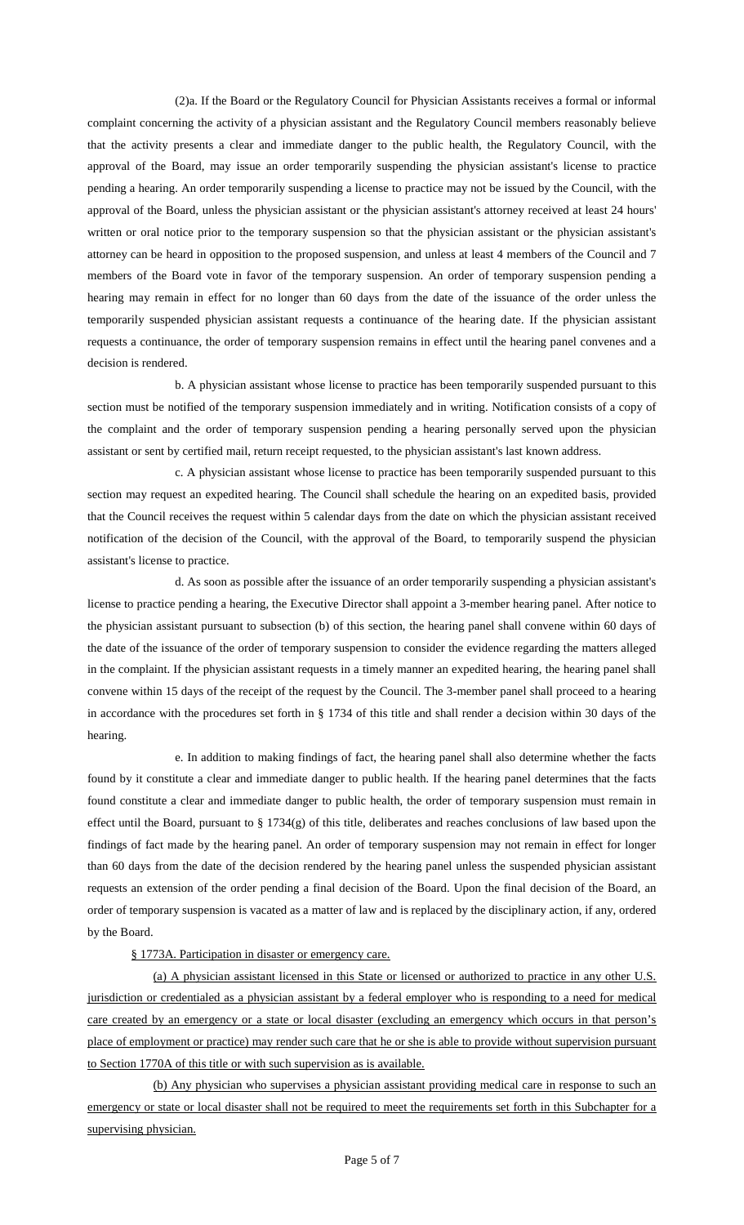(2)a. If the Board or the Regulatory Council for Physician Assistants receives a formal or informal complaint concerning the activity of a physician assistant and the Regulatory Council members reasonably believe that the activity presents a clear and immediate danger to the public health, the Regulatory Council, with the approval of the Board, may issue an order temporarily suspending the physician assistant's license to practice pending a hearing. An order temporarily suspending a license to practice may not be issued by the Council, with the approval of the Board, unless the physician assistant or the physician assistant's attorney received at least 24 hours' written or oral notice prior to the temporary suspension so that the physician assistant or the physician assistant's attorney can be heard in opposition to the proposed suspension, and unless at least 4 members of the Council and 7 members of the Board vote in favor of the temporary suspension. An order of temporary suspension pending a hearing may remain in effect for no longer than 60 days from the date of the issuance of the order unless the temporarily suspended physician assistant requests a continuance of the hearing date. If the physician assistant requests a continuance, the order of temporary suspension remains in effect until the hearing panel convenes and a decision is rendered.

b. A physician assistant whose license to practice has been temporarily suspended pursuant to this section must be notified of the temporary suspension immediately and in writing. Notification consists of a copy of the complaint and the order of temporary suspension pending a hearing personally served upon the physician assistant or sent by certified mail, return receipt requested, to the physician assistant's last known address.

c. A physician assistant whose license to practice has been temporarily suspended pursuant to this section may request an expedited hearing. The Council shall schedule the hearing on an expedited basis, provided that the Council receives the request within 5 calendar days from the date on which the physician assistant received notification of the decision of the Council, with the approval of the Board, to temporarily suspend the physician assistant's license to practice.

d. As soon as possible after the issuance of an order temporarily suspending a physician assistant's license to practice pending a hearing, the Executive Director shall appoint a 3-member hearing panel. After notice to the physician assistant pursuant to subsection (b) of this section, the hearing panel shall convene within 60 days of the date of the issuance of the order of temporary suspension to consider the evidence regarding the matters alleged in the complaint. If the physician assistant requests in a timely manner an expedited hearing, the hearing panel shall convene within 15 days of the receipt of the request by the Council. The 3-member panel shall proceed to a hearing in accordance with the procedures set forth in § 1734 of this title and shall render a decision within 30 days of the hearing.

e. In addition to making findings of fact, the hearing panel shall also determine whether the facts found by it constitute a clear and immediate danger to public health. If the hearing panel determines that the facts found constitute a clear and immediate danger to public health, the order of temporary suspension must remain in effect until the Board, pursuant to § 1734(g) of this title, deliberates and reaches conclusions of law based upon the findings of fact made by the hearing panel. An order of temporary suspension may not remain in effect for longer than 60 days from the date of the decision rendered by the hearing panel unless the suspended physician assistant requests an extension of the order pending a final decision of the Board. Upon the final decision of the Board, an order of temporary suspension is vacated as a matter of law and is replaced by the disciplinary action, if any, ordered by the Board.

## § 1773A. Participation in disaster or emergency care.

(a) A physician assistant licensed in this State or licensed or authorized to practice in any other U.S. jurisdiction or credentialed as a physician assistant by a federal employer who is responding to a need for medical care created by an emergency or a state or local disaster (excluding an emergency which occurs in that person's place of employment or practice) may render such care that he or she is able to provide without supervision pursuant to Section 1770A of this title or with such supervision as is available.

(b) Any physician who supervises a physician assistant providing medical care in response to such an emergency or state or local disaster shall not be required to meet the requirements set forth in this Subchapter for a supervising physician.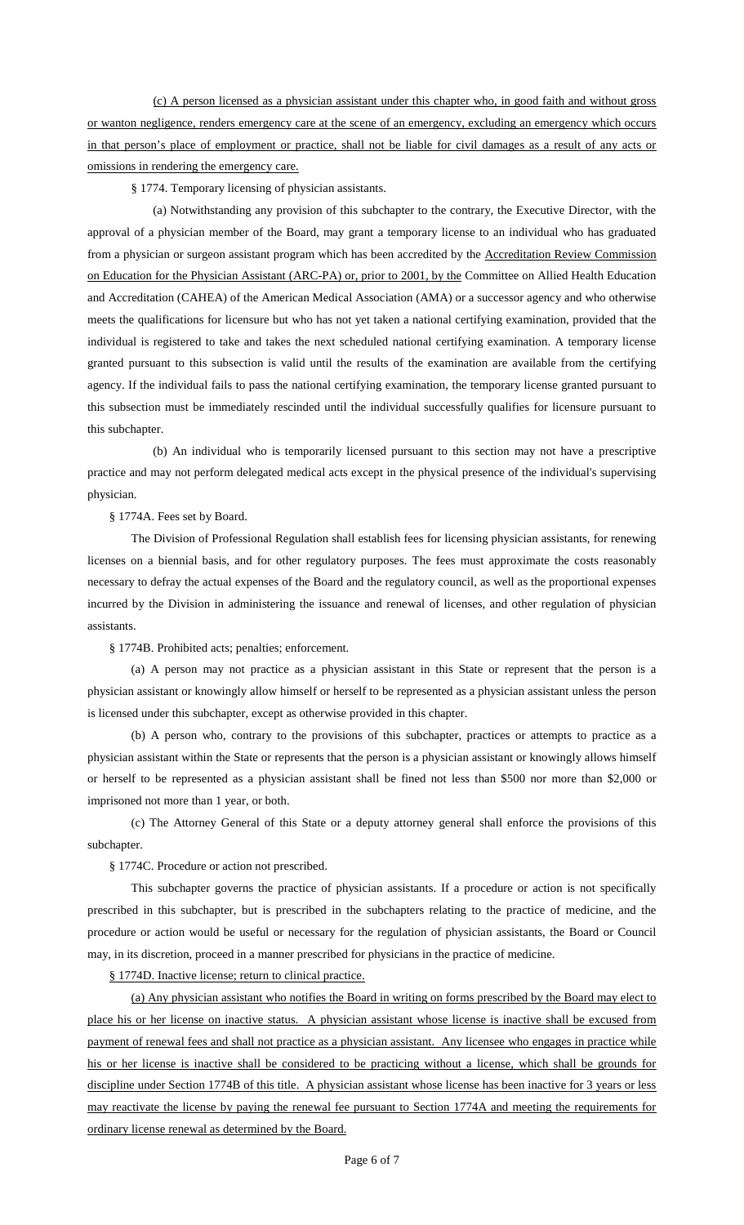(c) A person licensed as a physician assistant under this chapter who, in good faith and without gross or wanton negligence, renders emergency care at the scene of an emergency, excluding an emergency which occurs in that person's place of employment or practice, shall not be liable for civil damages as a result of any acts or omissions in rendering the emergency care.

§ 1774. Temporary licensing of physician assistants.

(a) Notwithstanding any provision of this subchapter to the contrary, the Executive Director, with the approval of a physician member of the Board, may grant a temporary license to an individual who has graduated from a physician or surgeon assistant program which has been accredited by the Accreditation Review Commission on Education for the Physician Assistant (ARC-PA) or, prior to 2001, by the Committee on Allied Health Education and Accreditation (CAHEA) of the American Medical Association (AMA) or a successor agency and who otherwise meets the qualifications for licensure but who has not yet taken a national certifying examination, provided that the individual is registered to take and takes the next scheduled national certifying examination. A temporary license granted pursuant to this subsection is valid until the results of the examination are available from the certifying agency. If the individual fails to pass the national certifying examination, the temporary license granted pursuant to this subsection must be immediately rescinded until the individual successfully qualifies for licensure pursuant to this subchapter.

(b) An individual who is temporarily licensed pursuant to this section may not have a prescriptive practice and may not perform delegated medical acts except in the physical presence of the individual's supervising physician.

§ 1774A. Fees set by Board.

The Division of Professional Regulation shall establish fees for licensing physician assistants, for renewing licenses on a biennial basis, and for other regulatory purposes. The fees must approximate the costs reasonably necessary to defray the actual expenses of the Board and the regulatory council, as well as the proportional expenses incurred by the Division in administering the issuance and renewal of licenses, and other regulation of physician assistants.

§ 1774B. Prohibited acts; penalties; enforcement.

(a) A person may not practice as a physician assistant in this State or represent that the person is a physician assistant or knowingly allow himself or herself to be represented as a physician assistant unless the person is licensed under this subchapter, except as otherwise provided in this chapter.

(b) A person who, contrary to the provisions of this subchapter, practices or attempts to practice as a physician assistant within the State or represents that the person is a physician assistant or knowingly allows himself or herself to be represented as a physician assistant shall be fined not less than \$500 nor more than \$2,000 or imprisoned not more than 1 year, or both.

(c) The Attorney General of this State or a deputy attorney general shall enforce the provisions of this subchapter.

§ 1774C. Procedure or action not prescribed.

This subchapter governs the practice of physician assistants. If a procedure or action is not specifically prescribed in this subchapter, but is prescribed in the subchapters relating to the practice of medicine, and the procedure or action would be useful or necessary for the regulation of physician assistants, the Board or Council may, in its discretion, proceed in a manner prescribed for physicians in the practice of medicine.

§ 1774D. Inactive license; return to clinical practice.

(a) Any physician assistant who notifies the Board in writing on forms prescribed by the Board may elect to place his or her license on inactive status. A physician assistant whose license is inactive shall be excused from payment of renewal fees and shall not practice as a physician assistant. Any licensee who engages in practice while his or her license is inactive shall be considered to be practicing without a license, which shall be grounds for discipline under Section 1774B of this title. A physician assistant whose license has been inactive for 3 years or less may reactivate the license by paying the renewal fee pursuant to Section 1774A and meeting the requirements for ordinary license renewal as determined by the Board.